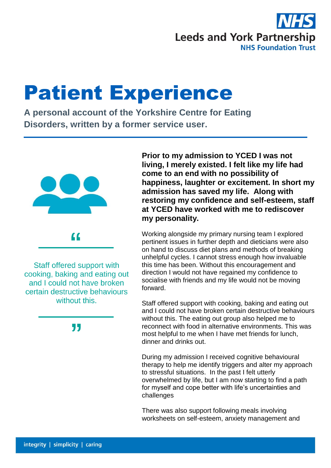

## Patient Experience

**A personal account of the Yorkshire Centre for Eating Disorders, written by a former service user.**



Staff offered support with cooking, baking and eating out and I could not have broken certain destructive behaviours without this.

77

**Prior to my admission to YCED I was not living, I merely existed. I felt like my life had come to an end with no possibility of happiness, laughter or excitement. In short my admission has saved my life. Along with restoring my confidence and self-esteem, staff at YCED have worked with me to rediscover my personality.**

Working alongside my primary nursing team I explored pertinent issues in further depth and dieticians were also on hand to discuss diet plans and methods of breaking unhelpful cycles. I cannot stress enough how invaluable this time has been. Without this encouragement and direction I would not have regained my confidence to socialise with friends and my life would not be moving forward.

Staff offered support with cooking, baking and eating out and I could not have broken certain destructive behaviours without this. The eating out group also helped me to reconnect with food in alternative environments. This was most helpful to me when I have met friends for lunch, dinner and drinks out.

During my admission I received cognitive behavioural therapy to help me identify triggers and alter my approach to stressful situations. In the past I felt utterly overwhelmed by life, but I am now starting to find a path for myself and cope better with life's uncertainties and challenges

There was also support following meals involving worksheets on self-esteem, anxiety management and